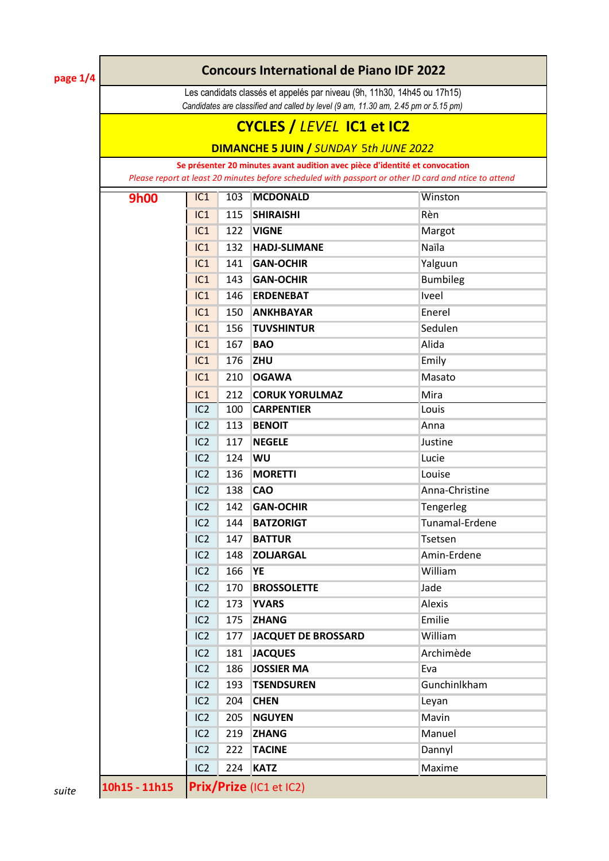**page 1/4**

#### **Concours International de Piano IDF 2022**

Les candidats classés et appelés par niveau (9h, 11h30, 14h45 ou 17h15) *Candidates are classified and called by level (9 am, 11.30 am, 2.45 pm or 5.15 pm)* 

## **CYCLES /** *LEVEL* **IC1 et IC2**

**DIMANCHE 5 JUIN /** *SUNDAY* 5*th JUNE 2022*

**Se présenter 20 minutes avant audition avec pièce d'identité et convocation**  *Please report at least 20 minutes before scheduled with passport or other ID card and ntice to attend*

| <b>9h00</b>  | IC1             | 103 | <b>MCDONALD</b>            | Winston         |
|--------------|-----------------|-----|----------------------------|-----------------|
|              | IC1             | 115 | <b>SHIRAISHI</b>           | Rèn             |
|              | IC1             | 122 | <b>VIGNE</b>               | Margot          |
|              | IC1             | 132 | <b>HADJ-SLIMANE</b>        | Naïla           |
|              | IC1             | 141 | <b>GAN-OCHIR</b>           | Yalguun         |
|              | IC1             | 143 | <b>GAN-OCHIR</b>           | <b>Bumbileg</b> |
|              | IC1             | 146 | <b>ERDENEBAT</b>           | Iveel           |
|              | IC1             | 150 | <b>ANKHBAYAR</b>           | Enerel          |
|              | IC1             | 156 | <b>TUVSHINTUR</b>          | Sedulen         |
|              | IC1             | 167 | <b>BAO</b>                 | Alida           |
|              | IC1             | 176 | ZHU                        | Emily           |
|              | IC1             | 210 | <b>OGAWA</b>               | Masato          |
|              | IC1             | 212 | <b>CORUK YORULMAZ</b>      | Mira            |
|              | IC <sub>2</sub> | 100 | <b>CARPENTIER</b>          | Louis           |
|              | IC <sub>2</sub> | 113 | <b>BENOIT</b>              | Anna            |
|              | IC <sub>2</sub> | 117 | <b>NEGELE</b>              | Justine         |
|              | IC <sub>2</sub> | 124 | WU                         | Lucie           |
|              | IC <sub>2</sub> | 136 | <b>MORETTI</b>             | Louise          |
|              | IC <sub>2</sub> | 138 | <b>CAO</b>                 | Anna-Christine  |
|              | IC <sub>2</sub> | 142 | <b>GAN-OCHIR</b>           | Tengerleg       |
|              | IC <sub>2</sub> | 144 | <b>BATZORIGT</b>           | Tunamal-Erdene  |
|              | IC <sub>2</sub> | 147 | <b>BATTUR</b>              | Tsetsen         |
|              | IC <sub>2</sub> | 148 | <b>ZOLJARGAL</b>           | Amin-Erdene     |
|              | IC <sub>2</sub> | 166 | <b>YE</b>                  | William         |
|              | IC <sub>2</sub> | 170 | <b>BROSSOLETTE</b>         | Jade            |
|              | IC <sub>2</sub> | 173 | <b>YVARS</b>               | Alexis          |
|              | IC <sub>2</sub> | 175 | <b>ZHANG</b>               | Emilie          |
|              | IC <sub>2</sub> | 177 | <b>JACQUET DE BROSSARD</b> | William         |
|              | IC <sub>2</sub> | 181 | <b>JACQUES</b>             | Archimède       |
|              | IC <sub>2</sub> | 186 | <b>JOSSIER MA</b>          | Eva             |
|              | IC <sub>2</sub> | 193 | <b>TSENDSUREN</b>          | Gunchinlkham    |
|              | IC <sub>2</sub> | 204 | <b>CHEN</b>                | Leyan           |
|              | IC <sub>2</sub> | 205 | <b>NGUYEN</b>              | Mavin           |
|              | IC <sub>2</sub> | 219 | <b>ZHANG</b>               | Manuel          |
|              | IC <sub>2</sub> | 222 | <b>TACINE</b>              | Dannyl          |
|              | IC <sub>2</sub> | 224 | <b>KATZ</b>                | Maxime          |
| 0h15 - 11h15 |                 |     | Prix/Prize (IC1 et IC2)    |                 |

*suite* 10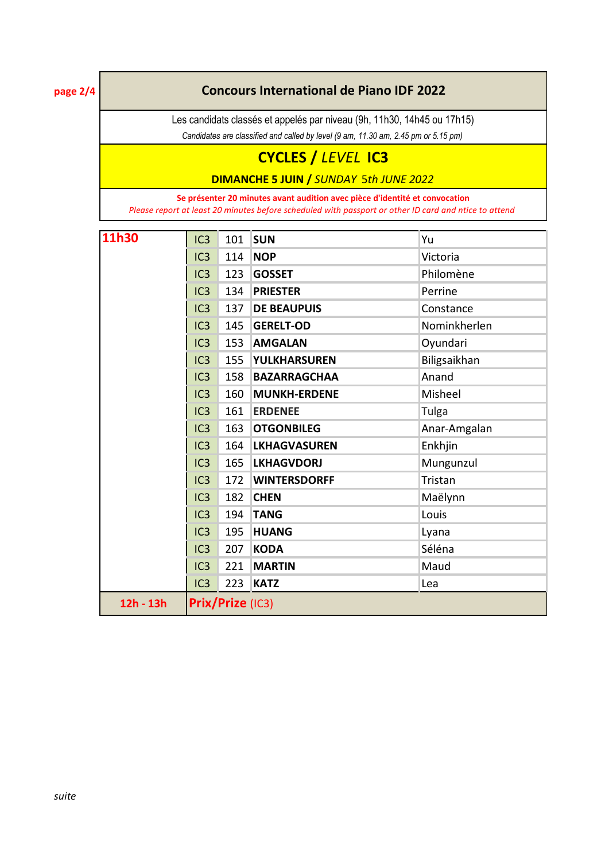**page 2/4**

### **Concours International de Piano IDF 2022**

Les candidats classés et appelés par niveau (9h, 11h30, 14h45 ou 17h15)

*Candidates are classified and called by level (9 am, 11.30 am, 2.45 pm or 5.15 pm)* 

# **CYCLES /** *LEVEL* **IC3**

**DIMANCHE 5 JUIN /** *SUNDAY* 5*th JUNE 2022*

**Se présenter 20 minutes avant audition avec pièce d'identité et convocation**  *Please report at least 20 minutes before scheduled with passport or other ID card and ntice to attend*

| 11h30     | IC <sub>3</sub> | 101              | <b>SUN</b>          | Yu           |
|-----------|-----------------|------------------|---------------------|--------------|
|           | IC3             | 114              | <b>NOP</b>          | Victoria     |
|           | IC3             | 123              | <b>GOSSET</b>       | Philomène    |
|           | IC3             | 134              | <b>PRIESTER</b>     | Perrine      |
|           | IC3             | 137              | <b>DE BEAUPUIS</b>  | Constance    |
|           | IC3             | 145              | <b>GERELT-OD</b>    | Nominkherlen |
|           | IC3             | 153              | <b>AMGALAN</b>      | Oyundari     |
|           | IC3             | 155              | <b>YULKHARSUREN</b> | Biligsaikhan |
|           | IC3             | 158              | <b>BAZARRAGCHAA</b> | Anand        |
|           | IC3             | 160              | <b>MUNKH-ERDENE</b> | Misheel      |
|           | IC3             | 161              | <b>ERDENEE</b>      | Tulga        |
|           | IC <sub>3</sub> | 163              | <b>OTGONBILEG</b>   | Anar-Amgalan |
|           | IC3             | 164              | <b>LKHAGVASUREN</b> | Enkhjin      |
|           | IC3             | 165              | <b>LKHAGVDORJ</b>   | Mungunzul    |
|           | IC3             | 172              | <b>WINTERSDORFF</b> | Tristan      |
|           | IC3             | 182              | <b>CHEN</b>         | Maëlynn      |
|           | IC3             | 194              | <b>TANG</b>         | Louis        |
|           | IC3             | 195              | <b>HUANG</b>        | Lyana        |
|           | IC <sub>3</sub> | 207              | <b>KODA</b>         | Séléna       |
|           | IC3             | 221              | <b>MARTIN</b>       | Maud         |
|           | IC3             | 223              | <b>KATZ</b>         | Lea          |
| 12h - 13h |                 | Prix/Prize (IC3) |                     |              |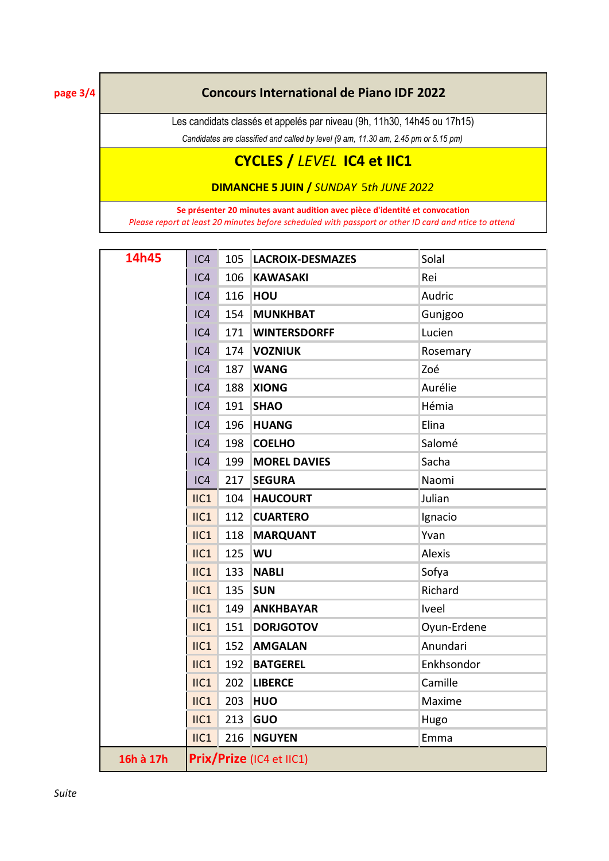**page 3/4**

### **Concours International de Piano IDF 2022**

Les candidats classés et appelés par niveau (9h, 11h30, 14h45 ou 17h15)

*Candidates are classified and called by level (9 am, 11.30 am, 2.45 pm or 5.15 pm)* 

### **CYCLES /** *LEVEL* **IC4 et IIC1**

**DIMANCHE 5 JUIN /** *SUNDAY* 5*th JUNE 2022*

**Se présenter 20 minutes avant audition avec pièce d'identité et convocation**  *Please report at least 20 minutes before scheduled with passport or other ID card and ntice to attend*

| 14h45     | IC4                      | 105 | <b>LACROIX-DESMAZES</b> | Solal         |
|-----------|--------------------------|-----|-------------------------|---------------|
|           | IC4                      | 106 | <b>KAWASAKI</b>         | Rei           |
|           | IC4                      | 116 | <b>HOU</b>              | Audric        |
|           | IC4                      | 154 | <b>MUNKHBAT</b>         | Gunjgoo       |
|           | IC4                      |     | 171   WINTERSDORFF      | Lucien        |
|           | IC4                      | 174 | <b>VOZNIUK</b>          | Rosemary      |
|           | IC4                      | 187 | <b>WANG</b>             | Zoé           |
|           | IC4                      | 188 | <b>XIONG</b>            | Aurélie       |
|           | IC4                      | 191 | <b>SHAO</b>             | Hémia         |
|           | IC4                      | 196 | <b>HUANG</b>            | Elina         |
|           | IC4                      | 198 | <b>COELHO</b>           | Salomé        |
|           | IC4                      | 199 | <b>MOREL DAVIES</b>     | Sacha         |
|           | IC4                      | 217 | <b>SEGURA</b>           | Naomi         |
|           | IIC1                     | 104 | <b>HAUCOURT</b>         | Julian        |
|           | IIC1                     | 112 | <b>CUARTERO</b>         | Ignacio       |
|           | $II$ C1                  | 118 | <b>MARQUANT</b>         | Yvan          |
|           | $II$ C1                  | 125 | <b>WU</b>               | <b>Alexis</b> |
|           | IIC1                     | 133 | <b>NABLI</b>            | Sofya         |
|           | $II$ C1                  | 135 | <b>SUN</b>              | Richard       |
|           | IIC1                     | 149 | <b>ANKHBAYAR</b>        | Iveel         |
|           | $II$ C1                  | 151 | <b>DORJGOTOV</b>        | Oyun-Erdene   |
|           | IIC1                     | 152 | <b>AMGALAN</b>          | Anundari      |
|           | $II$ C1                  | 192 | <b>BATGEREL</b>         | Enkhsondor    |
|           | $II$ C1                  | 202 | <b>LIBERCE</b>          | Camille       |
|           | $II$ C1                  | 203 | <b>HUO</b>              | Maxime        |
|           | IIC1                     | 213 | GUO                     | Hugo          |
|           | IIC1                     | 216 | <b>NGUYEN</b>           | Emma          |
| 16h à 17h | Prix/Prize (IC4 et IIC1) |     |                         |               |